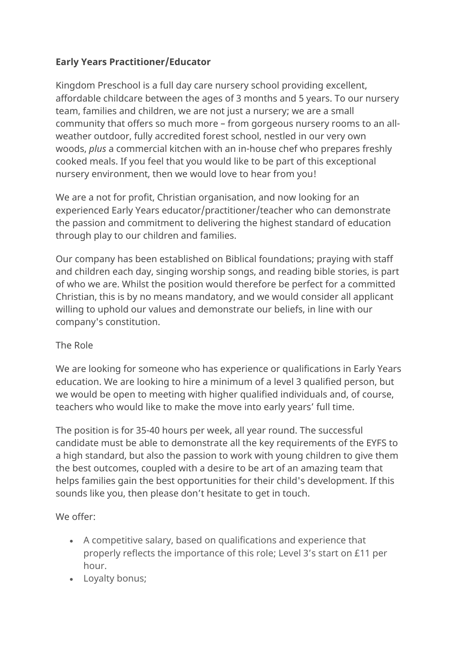## **Early Years Practitioner/Educator**

Kingdom Preschool is a full day care nursery school providing excellent, affordable childcare between the ages of 3 months and 5 years. To our nursery team, families and children, we are not just a nursery; we are a small community that offers so much more – from gorgeous nursery rooms to an allweather outdoor, fully accredited forest school, nestled in our very own woods, *plus* a commercial kitchen with an in-house chef who prepares freshly cooked meals. If you feel that you would like to be part of this exceptional nursery environment, then we would love to hear from you!

We are a not for profit, Christian organisation, and now looking for an experienced Early Years educator/practitioner/teacher who can demonstrate the passion and commitment to delivering the highest standard of education through play to our children and families.

Our company has been established on Biblical foundations; praying with staff and children each day, singing worship songs, and reading bible stories, is part of who we are. Whilst the position would therefore be perfect for a committed Christian, this is by no means mandatory, and we would consider all applicant willing to uphold our values and demonstrate our beliefs, in line with our company's constitution.

## The Role

We are looking for someone who has experience or qualifications in Early Years education. We are looking to hire a minimum of a level 3 qualified person, but we would be open to meeting with higher qualified individuals and, of course, teachers who would like to make the move into early years' full time.

The position is for 35-40 hours per week, all year round. The successful candidate must be able to demonstrate all the key requirements of the EYFS to a high standard, but also the passion to work with young children to give them the best outcomes, coupled with a desire to be art of an amazing team that helps families gain the best opportunities for their child's development. If this sounds like you, then please don't hesitate to get in touch.

We offer:

- A competitive salary, based on qualifications and experience that properly reflects the importance of this role; Level 3's start on £11 per hour.
- Loyalty bonus;